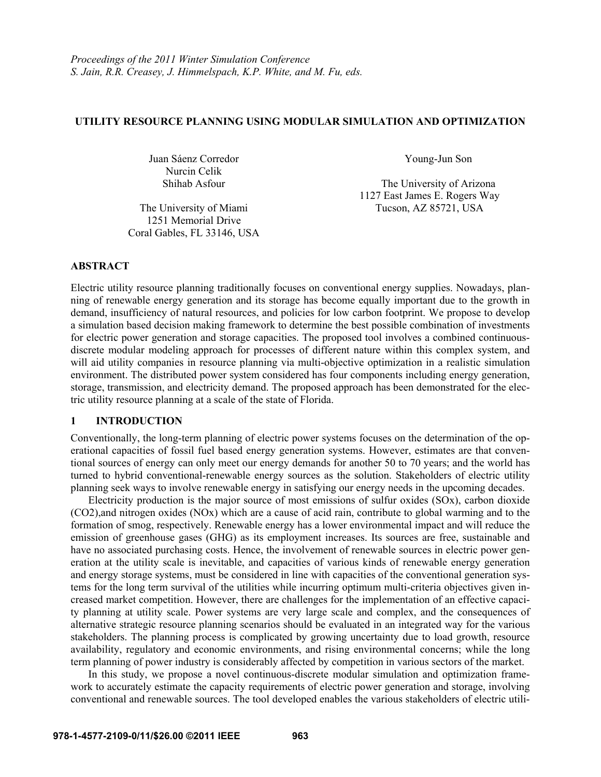## **UTILITY RESOURCE PLANNING USING MODULAR SIMULATION AND OPTIMIZATION**

Juan Sáenz Corredor Young-Jun Son Nurcin Celik

Shihab Asfour The University of Arizona 1127 East James E. Rogers Way The University of Miami Tucson, AZ 85721, USA

1251 Memorial Drive Coral Gables, FL 33146, USA

## **ABSTRACT**

Electric utility resource planning traditionally focuses on conventional energy supplies. Nowadays, planning of renewable energy generation and its storage has become equally important due to the growth in demand, insufficiency of natural resources, and policies for low carbon footprint. We propose to develop a simulation based decision making framework to determine the best possible combination of investments for electric power generation and storage capacities. The proposed tool involves a combined continuousdiscrete modular modeling approach for processes of different nature within this complex system, and will aid utility companies in resource planning via multi-objective optimization in a realistic simulation environment. The distributed power system considered has four components including energy generation, storage, transmission, and electricity demand. The proposed approach has been demonstrated for the electric utility resource planning at a scale of the state of Florida.

## **1 INTRODUCTION**

Conventionally, the long-term planning of electric power systems focuses on the determination of the operational capacities of fossil fuel based energy generation systems. However, estimates are that conventional sources of energy can only meet our energy demands for another 50 to 70 years; and the world has turned to hybrid conventional-renewable energy sources as the solution. Stakeholders of electric utility planning seek ways to involve renewable energy in satisfying our energy needs in the upcoming decades.

 Electricity production is the major source of most emissions of sulfur oxides (SOx), carbon dioxide (CO2),and nitrogen oxides (NOx) which are a cause of acid rain, contribute to global warming and to the formation of smog, respectively. Renewable energy has a lower environmental impact and will reduce the emission of greenhouse gases (GHG) as its employment increases. Its sources are free, sustainable and have no associated purchasing costs. Hence, the involvement of renewable sources in electric power generation at the utility scale is inevitable, and capacities of various kinds of renewable energy generation and energy storage systems, must be considered in line with capacities of the conventional generation systems for the long term survival of the utilities while incurring optimum multi-criteria objectives given increased market competition. However, there are challenges for the implementation of an effective capacity planning at utility scale. Power systems are very large scale and complex, and the consequences of alternative strategic resource planning scenarios should be evaluated in an integrated way for the various stakeholders. The planning process is complicated by growing uncertainty due to load growth, resource availability, regulatory and economic environments, and rising environmental concerns; while the long term planning of power industry is considerably affected by competition in various sectors of the market.

In this study, we propose a novel continuous-discrete modular simulation and optimization framework to accurately estimate the capacity requirements of electric power generation and storage, involving conventional and renewable sources. The tool developed enables the various stakeholders of electric utili-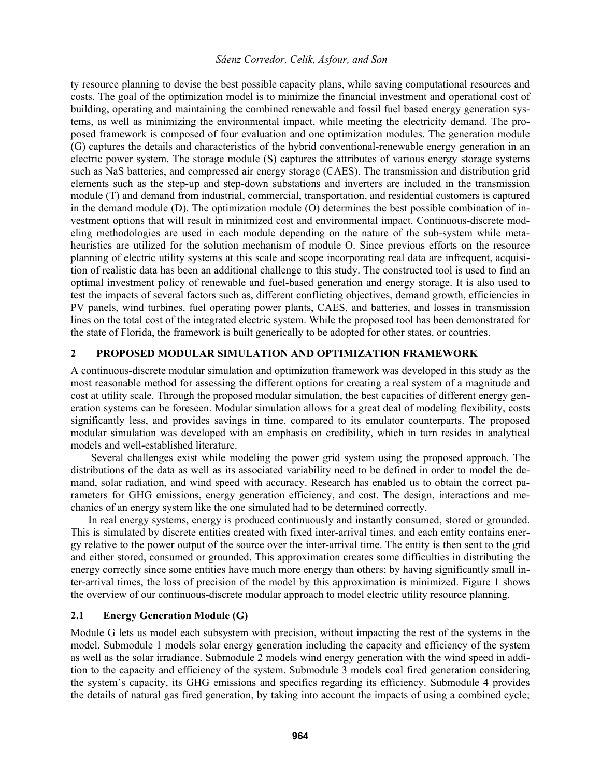ty resource planning to devise the best possible capacity plans, while saving computational resources and costs. The goal of the optimization model is to minimize the financial investment and operational cost of building, operating and maintaining the combined renewable and fossil fuel based energy generation systems, as well as minimizing the environmental impact, while meeting the electricity demand. The proposed framework is composed of four evaluation and one optimization modules. The generation module (G) captures the details and characteristics of the hybrid conventional-renewable energy generation in an electric power system. The storage module (S) captures the attributes of various energy storage systems such as NaS batteries, and compressed air energy storage (CAES). The transmission and distribution grid elements such as the step-up and step-down substations and inverters are included in the transmission module (T) and demand from industrial, commercial, transportation, and residential customers is captured in the demand module (D). The optimization module (O) determines the best possible combination of investment options that will result in minimized cost and environmental impact. Continuous-discrete modeling methodologies are used in each module depending on the nature of the sub-system while metaheuristics are utilized for the solution mechanism of module O. Since previous efforts on the resource planning of electric utility systems at this scale and scope incorporating real data are infrequent, acquisition of realistic data has been an additional challenge to this study. The constructed tool is used to find an optimal investment policy of renewable and fuel-based generation and energy storage. It is also used to test the impacts of several factors such as, different conflicting objectives, demand growth, efficiencies in PV panels, wind turbines, fuel operating power plants, CAES, and batteries, and losses in transmission lines on the total cost of the integrated electric system. While the proposed tool has been demonstrated for the state of Florida, the framework is built generically to be adopted for other states, or countries.

### **2 PROPOSED MODULAR SIMULATION AND OPTIMIZATION FRAMEWORK**

A continuous-discrete modular simulation and optimization framework was developed in this study as the most reasonable method for assessing the different options for creating a real system of a magnitude and cost at utility scale. Through the proposed modular simulation, the best capacities of different energy generation systems can be foreseen. Modular simulation allows for a great deal of modeling flexibility, costs significantly less, and provides savings in time, compared to its emulator counterparts. The proposed modular simulation was developed with an emphasis on credibility, which in turn resides in analytical models and well-established literature.

 Several challenges exist while modeling the power grid system using the proposed approach. The distributions of the data as well as its associated variability need to be defined in order to model the demand, solar radiation, and wind speed with accuracy. Research has enabled us to obtain the correct parameters for GHG emissions, energy generation efficiency, and cost. The design, interactions and mechanics of an energy system like the one simulated had to be determined correctly.

In real energy systems, energy is produced continuously and instantly consumed, stored or grounded. This is simulated by discrete entities created with fixed inter-arrival times, and each entity contains energy relative to the power output of the source over the inter-arrival time. The entity is then sent to the grid and either stored, consumed or grounded. This approximation creates some difficulties in distributing the energy correctly since some entities have much more energy than others; by having significantly small inter-arrival times, the loss of precision of the model by this approximation is minimized. Figure 1 shows the overview of our continuous-discrete modular approach to model electric utility resource planning.

## **2.1 Energy Generation Module (G)**

Module G lets us model each subsystem with precision, without impacting the rest of the systems in the model. Submodule 1 models solar energy generation including the capacity and efficiency of the system as well as the solar irradiance. Submodule 2 models wind energy generation with the wind speed in addition to the capacity and efficiency of the system. Submodule 3 models coal fired generation considering the system's capacity, its GHG emissions and specifics regarding its efficiency. Submodule 4 provides the details of natural gas fired generation, by taking into account the impacts of using a combined cycle;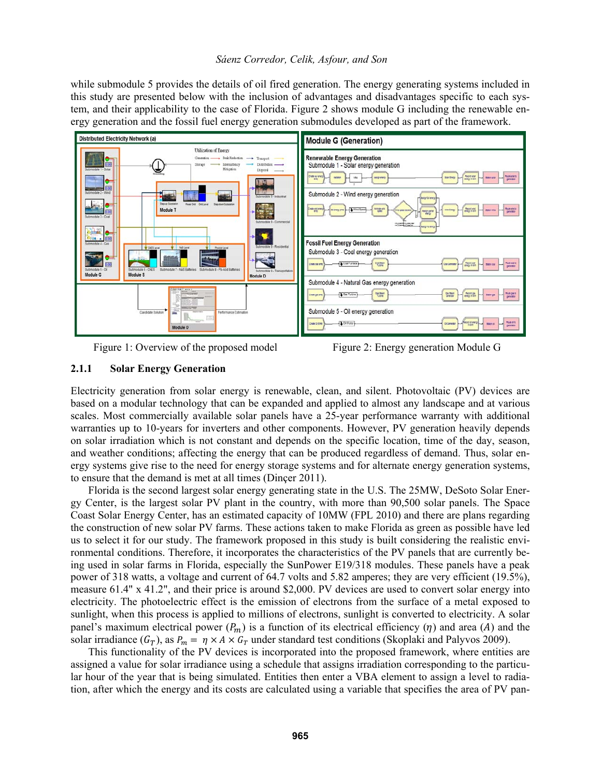while submodule 5 provides the details of oil fired generation. The energy generating systems included in this study are presented below with the inclusion of advantages and disadvantages specific to each system, and their applicability to the case of Florida. Figure 2 shows module G including the renewable energy generation and the fossil fuel energy generation submodules developed as part of the framework.





### **2.1.1 Solar Energy Generation**

Electricity generation from solar energy is renewable, clean, and silent. Photovoltaic (PV) devices are based on a modular technology that can be expanded and applied to almost any landscape and at various scales. Most commercially available solar panels have a 25-year performance warranty with additional warranties up to 10-years for inverters and other components. However, PV generation heavily depends on solar irradiation which is not constant and depends on the specific location, time of the day, season, and weather conditions; affecting the energy that can be produced regardless of demand. Thus, solar energy systems give rise to the need for energy storage systems and for alternate energy generation systems, to ensure that the demand is met at all times (Dinçer 2011).

 Florida is the second largest solar energy generating state in the U.S. The 25MW, DeSoto Solar Energy Center, is the largest solar PV plant in the country, with more than 90,500 solar panels. The Space Coast Solar Energy Center, has an estimated capacity of 10MW (FPL 2010) and there are plans regarding the construction of new solar PV farms. These actions taken to make Florida as green as possible have led us to select it for our study. The framework proposed in this study is built considering the realistic environmental conditions. Therefore, it incorporates the characteristics of the PV panels that are currently being used in solar farms in Florida, especially the SunPower E19/318 modules. These panels have a peak power of 318 watts, a voltage and current of 64.7 volts and 5.82 amperes; they are very efficient (19.5%), measure 61.4" x 41.2", and their price is around \$2,000. PV devices are used to convert solar energy into electricity. The photoelectric effect is the emission of electrons from the surface of a metal exposed to sunlight, when this process is applied to millions of electrons, sunlight is converted to electricity. A solar panel's maximum electrical power  $(P_m)$  is a function of its electrical efficiency  $(\eta)$  and area  $(A)$  and the solar irradiance  $(G_T)$ , as  $P_m = \eta \times A \times G_T$  under standard test conditions (Skoplaki and Palyvos 2009).

 This functionality of the PV devices is incorporated into the proposed framework, where entities are assigned a value for solar irradiance using a schedule that assigns irradiation corresponding to the particular hour of the year that is being simulated. Entities then enter a VBA element to assign a level to radiation, after which the energy and its costs are calculated using a variable that specifies the area of PV pan-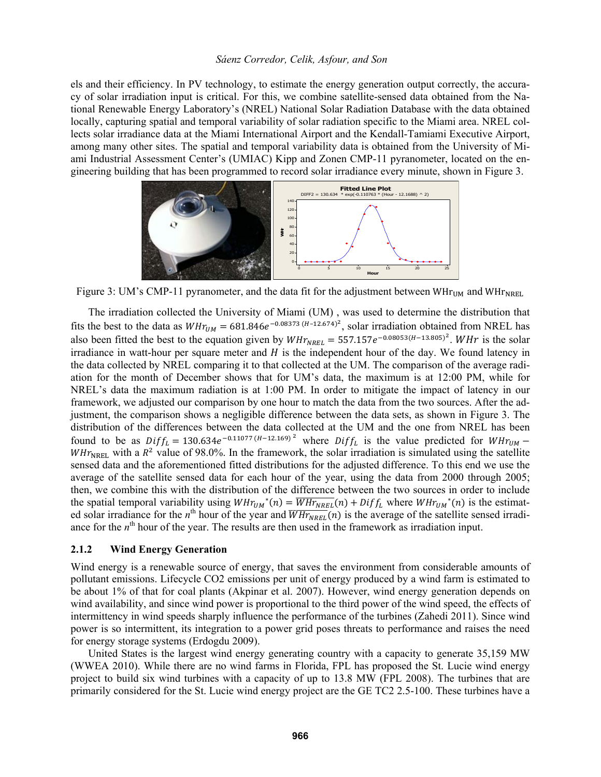els and their efficiency. In PV technology, to estimate the energy generation output correctly, the accuracy of solar irradiation input is critical. For this, we combine satellite-sensed data obtained from the National Renewable Energy Laboratory's (NREL) National Solar Radiation Database with the data obtained locally, capturing spatial and temporal variability of solar radiation specific to the Miami area. NREL collects solar irradiance data at the Miami International Airport and the Kendall-Tamiami Executive Airport, among many other sites. The spatial and temporal variability data is obtained from the University of Miami Industrial Assessment Center's (UMIAC) Kipp and Zonen CMP-11 pyranometer, located on the engineering building that has been programmed to record solar irradiance every minute, shown in Figure 3.



Figure 3: UM's CMP-11 pyranometer, and the data fit for the adjustment between WH $r_{UM}$  and WH $r_{NEEL}$ 

 The irradiation collected the University of Miami (UM) , was used to determine the distribution that fits the best to the data as  $W H r_{UM} = 681.846e^{-0.08373 (H-12.674)^2}$ , solar irradiation obtained from NREL has also been fitted the best to the equation given by  $W H r_{NREL} = 557.157e^{-0.08053(H-13.805)^2}$ . WHr is the solar irradiance in watt-hour per square meter and  $H$  is the independent hour of the day. We found latency in the data collected by NREL comparing it to that collected at the UM. The comparison of the average radiation for the month of December shows that for UM's data, the maximum is at 12:00 PM, while for NREL's data the maximum radiation is at 1:00 PM. In order to mitigate the impact of latency in our framework, we adjusted our comparison by one hour to match the data from the two sources. After the adjustment, the comparison shows a negligible difference between the data sets, as shown in Figure 3. The distribution of the differences between the data collected at the UM and the one from NREL has been found to be as  $Diff_L = 130.634e^{-0.11077 (H-12.169)^2}$  where  $Diff_L$  is the value predicted for  $WHr_{UM}$  –  $WHr_{\text{NREL}}$  with a  $R^2$  value of 98.0%. In the framework, the solar irradiation is simulated using the satellite sensed data and the aforementioned fitted distributions for the adjusted difference. To this end we use the average of the satellite sensed data for each hour of the year, using the data from 2000 through 2005; then, we combine this with the distribution of the difference between the two sources in order to include the spatial temporal variability using  $WHr_{UM}^*(n) = \overline{WHr_{NEL}}(n) + \text{Diff}_L$  where  $WHr_{UM}^*(n)$  is the estimated solar irradiance for the *n*<sup>th</sup> hour of the year and  $\overline{WHr_{NREL}}(n)$  is the average of the satellite sensed irradiance for the  $n^{\text{th}}$  hour of the year. The results are then used in the framework as irradiation input.

### **2.1.2 Wind Energy Generation**

Wind energy is a renewable source of energy, that saves the environment from considerable amounts of pollutant emissions. Lifecycle CO2 emissions per unit of energy produced by a wind farm is estimated to be about 1% of that for coal plants (Akpinar et al. 2007). However, wind energy generation depends on wind availability, and since wind power is proportional to the third power of the wind speed, the effects of intermittency in wind speeds sharply influence the performance of the turbines (Zahedi 2011). Since wind power is so intermittent, its integration to a power grid poses threats to performance and raises the need for energy storage systems (Erdogdu 2009).

 United States is the largest wind energy generating country with a capacity to generate 35,159 MW (WWEA 2010). While there are no wind farms in Florida, FPL has proposed the St. Lucie wind energy project to build six wind turbines with a capacity of up to 13.8 MW (FPL 2008). The turbines that are primarily considered for the St. Lucie wind energy project are the GE TC2 2.5-100. These turbines have a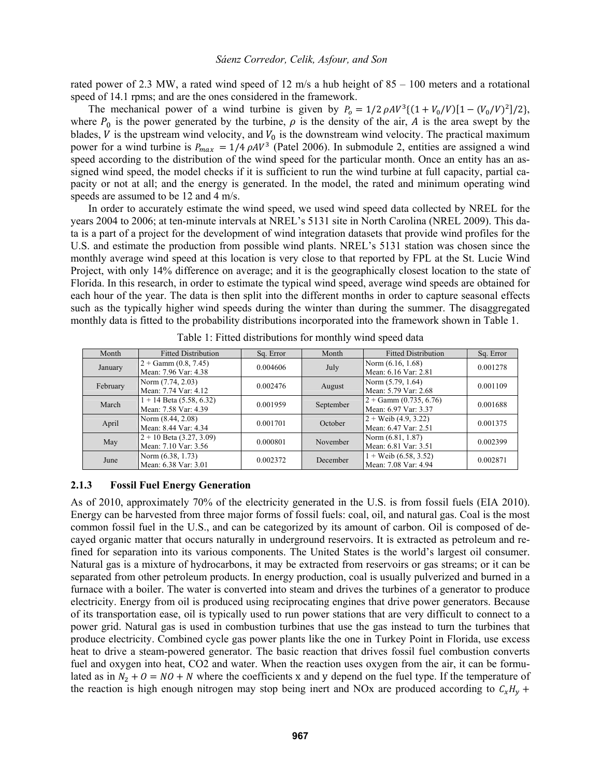rated power of 2.3 MW, a rated wind speed of 12 m/s a hub height of 85 – 100 meters and a rotational speed of 14.1 rpms; and are the ones considered in the framework.

The mechanical power of a wind turbine is given by  $P_0 = 1/2 \rho A V^3 \{(1 + V_0/V) [1 - (V_0/V)^2]/2\}$ , where  $P_0$  is the power generated by the turbine,  $\rho$  is the density of the air, A is the area swept by the blades,  $\hat{V}$  is the upstream wind velocity, and  $V_0$  is the downstream wind velocity. The practical maximum power for a wind turbine is  $P_{max} = 1/4 \rho A V^3$  (Patel 2006). In submodule 2, entities are assigned a wind speed according to the distribution of the wind speed for the particular month. Once an entity has an assigned wind speed, the model checks if it is sufficient to run the wind turbine at full capacity, partial capacity or not at all; and the energy is generated. In the model, the rated and minimum operating wind speeds are assumed to be 12 and 4 m/s.

In order to accurately estimate the wind speed, we used wind speed data collected by NREL for the years 2004 to 2006; at ten-minute intervals at NREL's 5131 site in North Carolina (NREL 2009). This data is a part of a project for the development of wind integration datasets that provide wind profiles for the U.S. and estimate the production from possible wind plants. NREL's 5131 station was chosen since the monthly average wind speed at this location is very close to that reported by FPL at the St. Lucie Wind Project, with only 14% difference on average; and it is the geographically closest location to the state of Florida. In this research, in order to estimate the typical wind speed, average wind speeds are obtained for each hour of the year. The data is then split into the different months in order to capture seasonal effects such as the typically higher wind speeds during the winter than during the summer. The disaggregated monthly data is fitted to the probability distributions incorporated into the framework shown in Table 1.

| Month    | <b>Fitted Distribution</b>                           | Sq. Error | Month     | <b>Fitted Distribution</b>                              | Sq. Error |
|----------|------------------------------------------------------|-----------|-----------|---------------------------------------------------------|-----------|
| January  | $2 + Gamma(0.8, 7.45)$<br>Mean: 7.96 Var: 4.38       | 0.004606  | July      | Norm $(6.16, 1.68)$<br>Mean: 6.16 Var: 2.81             | 0.001278  |
| February | Norm (7.74, 2.03)<br>Mean: 7.74 Var: 4.12            | 0.002476  | August    | Norm (5.79, 1.64)<br>Mean: 5.79 Var: 2.68               | 0.001109  |
| March    | $1 + 14$ Beta $(5.58, 6.32)$<br>Mean: 7.58 Var: 4.39 | 0.001959  | September | $2 + \text{Gamma}(0.735, 6.76)$<br>Mean: 6.97 Var: 3.37 | 0.001688  |
| April    | Norm (8.44, 2.08)<br>Mean: 8.44 Var: 4.34            | 0.001701  | October   | $2 +$ Weib (4.9, 3.22)<br>Mean: 6.47 Var: 2.51          | 0.001375  |
| May      | $2 + 10$ Beta $(3.27, 3.09)$<br>Mean: 7.10 Var: 3.56 | 0.000801  | November  | Norm (6.81, 1.87)<br>Mean: 6.81 Var: 3.51               | 0.002399  |
| June     | Norm (6.38, 1.73)<br>Mean: 6.38 Var: 3.01            | 0.002372  | December  | $1 +$ Weib (6.58, 3.52)<br>Mean: 7.08 Var: 4.94         | 0.002871  |

Table 1: Fitted distributions for monthly wind speed data

## **2.1.3 Fossil Fuel Energy Generation**

As of 2010, approximately 70% of the electricity generated in the U.S. is from fossil fuels (EIA 2010). Energy can be harvested from three major forms of fossil fuels: coal, oil, and natural gas. Coal is the most common fossil fuel in the U.S., and can be categorized by its amount of carbon. Oil is composed of decayed organic matter that occurs naturally in underground reservoirs. It is extracted as petroleum and refined for separation into its various components. The United States is the world's largest oil consumer. Natural gas is a mixture of hydrocarbons, it may be extracted from reservoirs or gas streams; or it can be separated from other petroleum products. In energy production, coal is usually pulverized and burned in a furnace with a boiler. The water is converted into steam and drives the turbines of a generator to produce electricity. Energy from oil is produced using reciprocating engines that drive power generators. Because of its transportation ease, oil is typically used to run power stations that are very difficult to connect to a power grid. Natural gas is used in combustion turbines that use the gas instead to turn the turbines that produce electricity. Combined cycle gas power plants like the one in Turkey Point in Florida, use excess heat to drive a steam-powered generator. The basic reaction that drives fossil fuel combustion converts fuel and oxygen into heat, CO2 and water. When the reaction uses oxygen from the air, it can be formulated as in  $N_2 + O = NO + N$  where the coefficients x and y depend on the fuel type. If the temperature of the reaction is high enough nitrogen may stop being inert and NOx are produced according to  $C_xH_y$  +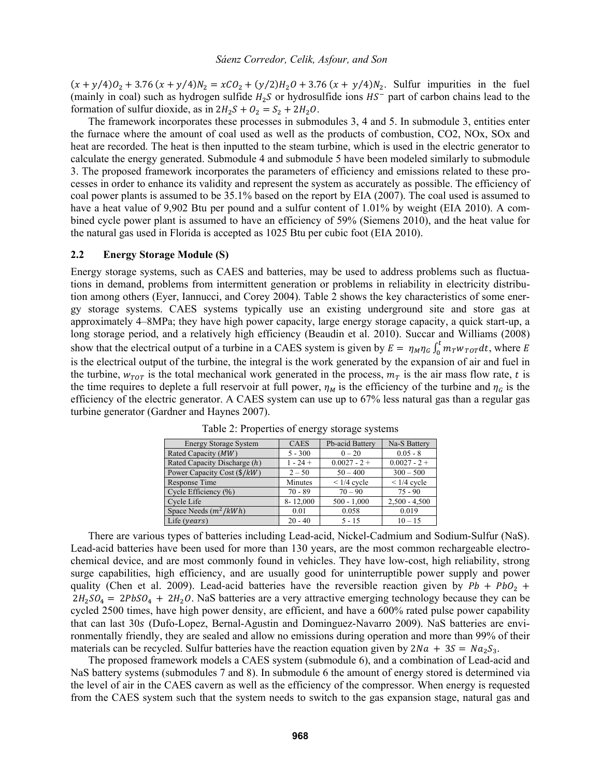$(x + y/4)O_2 + 3.76(x + y/4)N_2 = xCO_2 + (y/2)H_2O + 3.76(x + y/4)N_2$ . Sulfur impurities in the fuel (mainly in coal) such as hydrogen sulfide  $H_2S$  or hydrosulfide ions  $HS^-$  part of carbon chains lead to the formation of sulfur dioxide, as in  $2H_2S + O_2 = S_2 + 2H_2O$ .

 The framework incorporates these processes in submodules 3, 4 and 5. In submodule 3, entities enter the furnace where the amount of coal used as well as the products of combustion, CO2, NOx, SOx and heat are recorded. The heat is then inputted to the steam turbine, which is used in the electric generator to calculate the energy generated. Submodule 4 and submodule 5 have been modeled similarly to submodule 3. The proposed framework incorporates the parameters of efficiency and emissions related to these processes in order to enhance its validity and represent the system as accurately as possible. The efficiency of coal power plants is assumed to be 35.1% based on the report by EIA (2007). The coal used is assumed to have a heat value of 9,902 Btu per pound and a sulfur content of 1.01% by weight (EIA 2010). A combined cycle power plant is assumed to have an efficiency of 59% (Siemens 2010), and the heat value for the natural gas used in Florida is accepted as 1025 Btu per cubic foot (EIA 2010).

### **2.2 Energy Storage Module (S)**

Energy storage systems, such as CAES and batteries, may be used to address problems such as fluctuations in demand, problems from intermittent generation or problems in reliability in electricity distribution among others (Eyer, Iannucci, and Corey 2004). Table 2 shows the key characteristics of some energy storage systems. CAES systems typically use an existing underground site and store gas at approximately 4–8MPa; they have high power capacity, large energy storage capacity, a quick start-up, a long storage period, and a relatively high efficiency (Beaudin et al. 2010). Succar and Williams (2008) show that the electrical output of a turbine in a CAES system is given by  $E = \eta_M \eta_G \int_0^t m_T w_{TOT} dt$ , where E is the electrical output of the turbine, the integral is the work generated by the expansion of air and fuel in the turbine,  $w_{TOT}$  is the total mechanical work generated in the process,  $m<sub>T</sub>$  is the air mass flow rate, t is the time requires to deplete a full reservoir at full power,  $\eta_M$  is the efficiency of the turbine and  $\eta_G$  is the efficiency of the electric generator. A CAES system can use up to 67% less natural gas than a regular gas turbine generator (Gardner and Haynes 2007).

| <b>Energy Storage System</b>              | <b>CAES</b>  | Pb-acid Battery  | Na-S Battery     |
|-------------------------------------------|--------------|------------------|------------------|
| Rated Capacity (MW)                       | $5 - 300$    | $0 - 20$         | $0.05 - 8$       |
| Rated Capacity Discharge (h)              | $1 - 24 +$   | $0.0027 - 2 +$   | $0.0027 - 2 +$   |
| Power Capacity Cost $(\frac{4}{\kappa}W)$ | $2 - 50$     | $50 - 400$       | $300 - 500$      |
| Response Time                             | Minutes      | $\leq$ 1/4 cycle | $\leq$ 1/4 cycle |
| Cycle Efficiency (%)                      | $70 - 89$    | $70 - 90$        | $75 - 90$        |
| Cycle Life                                | $8 - 12,000$ | $500 - 1,000$    | $2,500 - 4,500$  |
| Space Needs $(m^2/kWh)$                   | 0.01         | 0.058            | 0.019            |
| Life (years)                              | $20 - 40$    | $5 - 15$         | $10 - 15$        |

Table 2: Properties of energy storage systems

There are various types of batteries including Lead-acid, Nickel-Cadmium and Sodium-Sulfur (NaS). Lead-acid batteries have been used for more than 130 years, are the most common rechargeable electrochemical device, and are most commonly found in vehicles. They have low-cost, high reliability, strong surge capabilities, high efficiency, and are usually good for uninterruptible power supply and power quality (Chen et al. 2009). Lead-acid batteries have the reversible reaction given by  $Pb + PbO<sub>2</sub> +$  $2H_2SO_4 = 2PbSO_4 + 2H_2O$ . NaS batteries are a very attractive emerging technology because they can be cycled 2500 times, have high power density, are efficient, and have a 600% rated pulse power capability that can last 30s (Dufo-Lopez, Bernal-Agustin and Dominguez-Navarro 2009). NaS batteries are environmentally friendly, they are sealed and allow no emissions during operation and more than 99% of their materials can be recycled. Sulfur batteries have the reaction equation given by  $2Na + 3S = Na<sub>2</sub>S<sub>3</sub>$ .

The proposed framework models a CAES system (submodule 6), and a combination of Lead-acid and NaS battery systems (submodules 7 and 8). In submodule 6 the amount of energy stored is determined via the level of air in the CAES cavern as well as the efficiency of the compressor. When energy is requested from the CAES system such that the system needs to switch to the gas expansion stage, natural gas and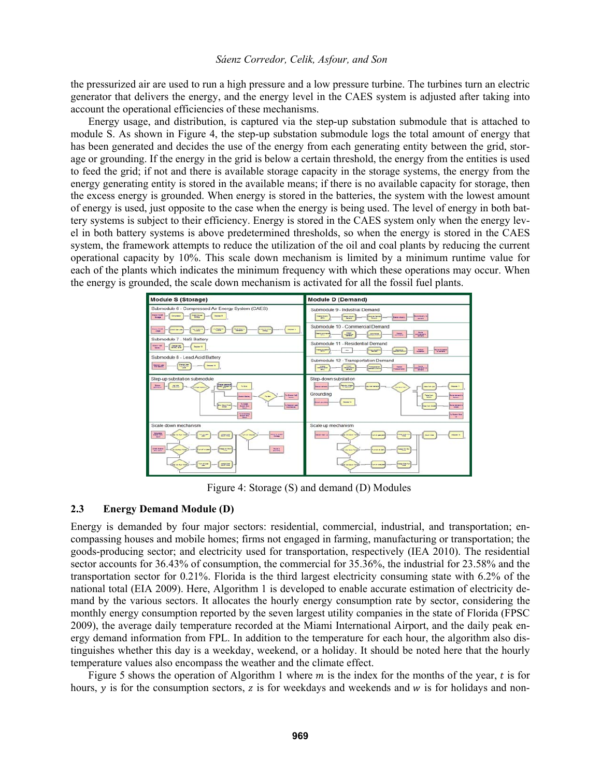the pressurized air are used to run a high pressure and a low pressure turbine. The turbines turn an electric generator that delivers the energy, and the energy level in the CAES system is adjusted after taking into account the operational efficiencies of these mechanisms.

 Energy usage, and distribution, is captured via the step-up substation submodule that is attached to module S. As shown in Figure 4, the step-up substation submodule logs the total amount of energy that has been generated and decides the use of the energy from each generating entity between the grid, storage or grounding. If the energy in the grid is below a certain threshold, the energy from the entities is used to feed the grid; if not and there is available storage capacity in the storage systems, the energy from the energy generating entity is stored in the available means; if there is no available capacity for storage, then the excess energy is grounded. When energy is stored in the batteries, the system with the lowest amount of energy is used, just opposite to the case when the energy is being used. The level of energy in both battery systems is subject to their efficiency. Energy is stored in the CAES system only when the energy level in both battery systems is above predetermined thresholds, so when the energy is stored in the CAES system, the framework attempts to reduce the utilization of the oil and coal plants by reducing the current operational capacity by 10%. This scale down mechanism is limited by a minimum runtime value for each of the plants which indicates the minimum frequency with which these operations may occur. When the energy is grounded, the scale down mechanism is activated for all the fossil fuel plants.



Figure 4: Storage (S) and demand (D) Modules

### **2.3 Energy Demand Module (D)**

Energy is demanded by four major sectors: residential, commercial, industrial, and transportation; encompassing houses and mobile homes; firms not engaged in farming, manufacturing or transportation; the goods-producing sector; and electricity used for transportation, respectively (IEA 2010). The residential sector accounts for 36.43% of consumption, the commercial for 35.36%, the industrial for 23.58% and the transportation sector for 0.21%. Florida is the third largest electricity consuming state with 6.2% of the national total (EIA 2009). Here, Algorithm 1 is developed to enable accurate estimation of electricity demand by the various sectors. It allocates the hourly energy consumption rate by sector, considering the monthly energy consumption reported by the seven largest utility companies in the state of Florida (FPSC 2009), the average daily temperature recorded at the Miami International Airport, and the daily peak energy demand information from FPL. In addition to the temperature for each hour, the algorithm also distinguishes whether this day is a weekday, weekend, or a holiday. It should be noted here that the hourly temperature values also encompass the weather and the climate effect.

Figure 5 shows the operation of Algorithm 1 where  $m$  is the index for the months of the year,  $t$  is for hours,  $y$  is for the consumption sectors, z is for weekdays and weekends and  $w$  is for holidays and non-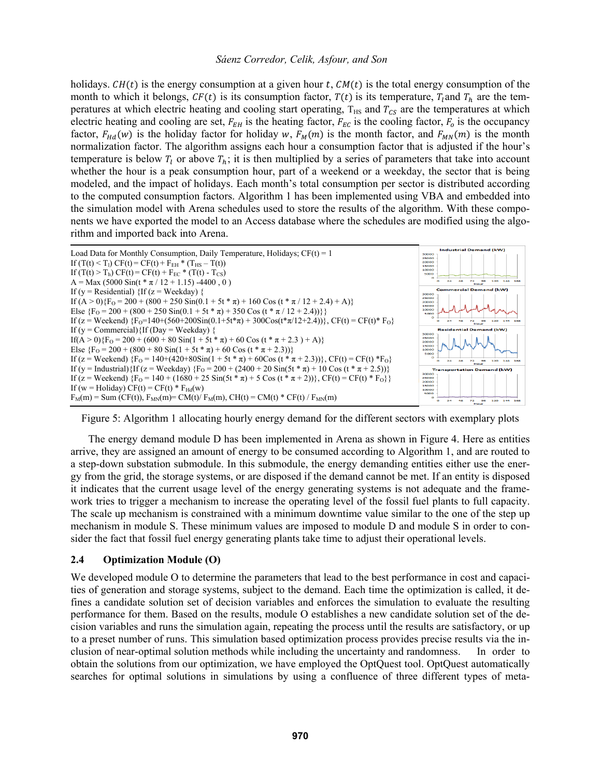holidays.  $CH(t)$  is the energy consumption at a given hour t,  $CM(t)$  is the total energy consumption of the month to which it belongs,  $CF(t)$  is its consumption factor,  $T(t)$  is its temperature,  $T_1$  and  $T_h$  are the temperatures at which electric heating and cooling start operating,  $T_{HS}$  and  $T_{CS}$  are the temperatures at which electric heating and cooling are set,  $F_{EH}$  is the heating factor,  $F_{EC}$  is the cooling factor,  $F_o$  is the occupancy factor,  $F_{Hd}(w)$  is the holiday factor for holiday w,  $F_M(m)$  is the month factor, and  $F_{MN}(m)$  is the month normalization factor. The algorithm assigns each hour a consumption factor that is adjusted if the hour's temperature is below  $T_l$  or above  $T_h$ ; it is then multiplied by a series of parameters that take into account whether the hour is a peak consumption hour, part of a weekend or a weekday, the sector that is being modeled, and the impact of holidays. Each month's total consumption per sector is distributed according to the computed consumption factors. Algorithm 1 has been implemented using VBA and embedded into the simulation model with Arena schedules used to store the results of the algorithm. With these components we have exported the model to an Access database where the schedules are modified using the algorithm and imported back into Arena.



Figure 5: Algorithm 1 allocating hourly energy demand for the different sectors with exemplary plots

The energy demand module D has been implemented in Arena as shown in Figure 4. Here as entities arrive, they are assigned an amount of energy to be consumed according to Algorithm 1, and are routed to a step-down substation submodule. In this submodule, the energy demanding entities either use the energy from the grid, the storage systems, or are disposed if the demand cannot be met. If an entity is disposed it indicates that the current usage level of the energy generating systems is not adequate and the framework tries to trigger a mechanism to increase the operating level of the fossil fuel plants to full capacity. The scale up mechanism is constrained with a minimum downtime value similar to the one of the step up mechanism in module S. These minimum values are imposed to module D and module S in order to consider the fact that fossil fuel energy generating plants take time to adjust their operational levels.

#### **2.4 Optimization Module (O)**

We developed module O to determine the parameters that lead to the best performance in cost and capacities of generation and storage systems, subject to the demand. Each time the optimization is called, it defines a candidate solution set of decision variables and enforces the simulation to evaluate the resulting performance for them. Based on the results, module O establishes a new candidate solution set of the decision variables and runs the simulation again, repeating the process until the results are satisfactory, or up to a preset number of runs. This simulation based optimization process provides precise results via the inclusion of near-optimal solution methods while including the uncertainty and randomness. In order to obtain the solutions from our optimization, we have employed the OptQuest tool. OptQuest automatically searches for optimal solutions in simulations by using a confluence of three different types of meta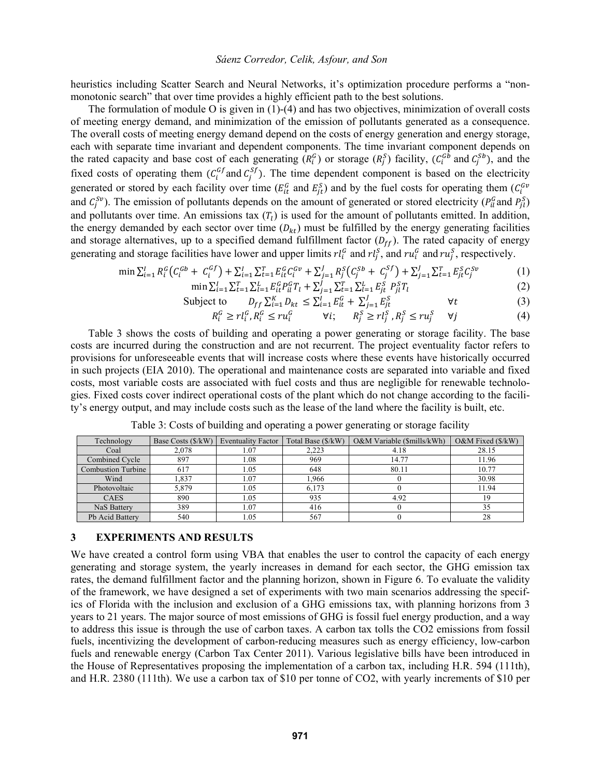heuristics including Scatter Search and Neural Networks, it's optimization procedure performs a "nonmonotonic search" that over time provides a highly efficient path to the best solutions.

The formulation of module O is given in  $(1)-(4)$  and has two objectives, minimization of overall costs of meeting energy demand, and minimization of the emission of pollutants generated as a consequence. The overall costs of meeting energy demand depend on the costs of energy generation and energy storage, each with separate time invariant and dependent components. The time invariant component depends on the rated capacity and base cost of each generating  $(R_i^G)$  or storage  $(R_j^S)$  facility,  $(C_i^{Gb} \text{ and } C_j^{Sb})$ , and the fixed costs of operating them  $(C_i^{Gf}$  and  $C_j^{Sf}$ ). The time dependent component is based on the electricity generated or stored by each facility over time ( $E_{it}^G$  and  $E_{jt}^S$ ) and by the fuel costs for operating them ( $C_i^{Gv}$ and  $C_j^{Sv}$ ). The emission of pollutants depends on the amount of generated or stored electricity ( $P_{il}^G$  and  $P_{jl}^S$ ) and pollutants over time. An emissions tax  $(T_l)$  is used for the amount of pollutants emitted. In addition, the energy demanded by each sector over time  $(D_{kt})$  must be fulfilled by the energy generating facilities and storage alternatives, up to a specified demand fulfillment factor  $(D_{ff})$ . The rated capacity of energy generating and storage facilities have lower and upper limits  $rl_i^G$  and  $rl_j^S$ , and  $ru_i^G$  and  $ru_j^S$ , respectively.

$$
\min \sum_{i=1}^{I} R_i^G \left( C_i^{Gb} + C_i^{cf} \right) + \sum_{i=1}^{I} \sum_{t=1}^{T} E_{it}^G C_i^{Gv} + \sum_{j=1}^{J} R_j^S \left( C_j^{Sb} + C_j^{Sf} \right) + \sum_{j=1}^{J} \sum_{t=1}^{T} E_{jt}^S C_j^{Sv} \tag{1}
$$

$$
\min \sum_{i=1}^{I} \sum_{t=1}^{T} \sum_{l=1}^{L} E_{it}^{G} P_{il}^{G} T_{l} + \sum_{j=1}^{I} \sum_{t=1}^{T} \sum_{l=1}^{L} E_{jt}^{S} P_{jl}^{S} T_{l}
$$
\n(2)

$$
\text{Subject to} \qquad D_{ff} \sum_{i=1}^{K} D_{kt} \le \sum_{i=1}^{I} E_{it}^{G} + \sum_{j=1}^{J} E_{jt}^{S} \qquad \forall t \tag{3}
$$

$$
R_i^G \ge r l_i^G, R_i^G \le r u_i^G \qquad \forall i; \qquad R_j^S \ge r l_j^S, R_j^S \le r u_j^S \qquad \forall j \tag{4}
$$

Table 3 shows the costs of building and operating a power generating or storage facility. The base costs are incurred during the construction and are not recurrent. The project eventuality factor refers to provisions for unforeseeable events that will increase costs where these events have historically occurred in such projects (EIA 2010). The operational and maintenance costs are separated into variable and fixed costs, most variable costs are associated with fuel costs and thus are negligible for renewable technologies. Fixed costs cover indirect operational costs of the plant which do not change according to the facility's energy output, and may include costs such as the lease of the land where the facility is built, etc.

| Technology                | Base Costs (\$/kW) | <b>Eventuality Factor</b> | Total Base (\$/kW) | O&M Variable (\$mills/kWh) | O&M Fixed $(\frac{S}{kW})$ |
|---------------------------|--------------------|---------------------------|--------------------|----------------------------|----------------------------|
| Coal                      | 2.078              | 1.07                      | 2.223              | 4.18                       | 28.15                      |
| Combined Cycle            | 897                | 1.08                      | 969                | 14.77                      | 11.96                      |
| <b>Combustion Turbine</b> | 617                | 1.05                      | 648                | 80.11                      | 10.77                      |
| Wind                      | .837               | 1.07                      | 1.966              |                            | 30.98                      |
| Photovoltaic              | 5.879              | 1.05                      | 6.173              |                            | 11.94                      |
| <b>CAES</b>               | 890                | 1.05                      | 935                | 4.92                       | 1 G                        |
| NaS Battery               | 389                | 1.07                      | 416                |                            | 35                         |
| Pb Acid Battery           | 540                | 1.05                      | 567                |                            | 28                         |

Table 3: Costs of building and operating a power generating or storage facility

#### **3 EXPERIMENTS AND RESULTS**

We have created a control form using VBA that enables the user to control the capacity of each energy generating and storage system, the yearly increases in demand for each sector, the GHG emission tax rates, the demand fulfillment factor and the planning horizon, shown in Figure 6. To evaluate the validity of the framework, we have designed a set of experiments with two main scenarios addressing the specifics of Florida with the inclusion and exclusion of a GHG emissions tax, with planning horizons from 3 years to 21 years. The major source of most emissions of GHG is fossil fuel energy production, and a way to address this issue is through the use of carbon taxes. A carbon tax tolls the CO2 emissions from fossil fuels, incentivizing the development of carbon-reducing measures such as energy efficiency, low-carbon fuels and renewable energy (Carbon Tax Center 2011). Various legislative bills have been introduced in the House of Representatives proposing the implementation of a carbon tax, including H.R. 594 (111th), and H.R. 2380 (111th). We use a carbon tax of \$10 per tonne of CO2, with yearly increments of \$10 per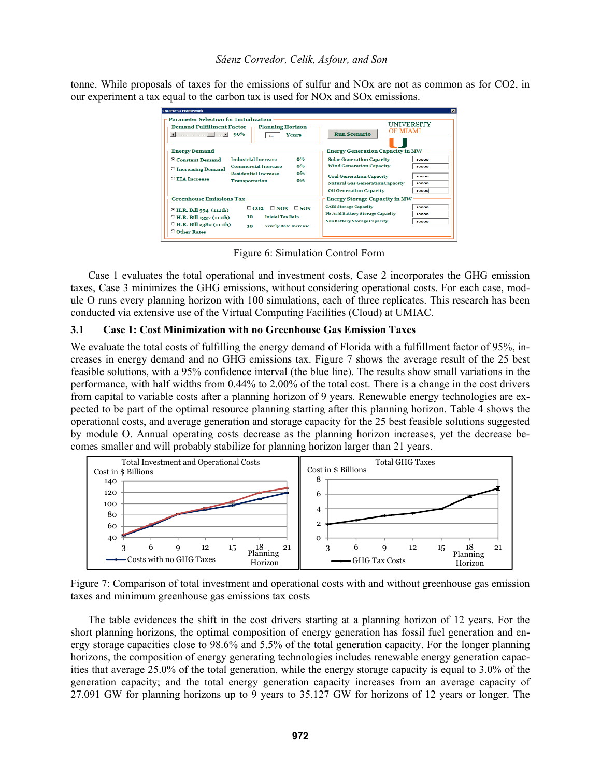tonne. While proposals of taxes for the emissions of sulfur and NOx are not as common as for CO2, in our experiment a tax equal to the carbon tax is used for NOx and SOx emissions.

| <b>CoDiMoSO Framework</b>                                                                                                                                                                                                                                                                                                                                                                                                                | $\vert x \vert$                                                                                                                                                                                                                                                                                                                          |
|------------------------------------------------------------------------------------------------------------------------------------------------------------------------------------------------------------------------------------------------------------------------------------------------------------------------------------------------------------------------------------------------------------------------------------------|------------------------------------------------------------------------------------------------------------------------------------------------------------------------------------------------------------------------------------------------------------------------------------------------------------------------------------------|
| <b>Parameter Selection for Initialization</b><br>- Demand Fulfillment Factor – – Planning Horizon<br>$\left  \cdot \right $<br>90%<br>$\blacktriangleright$<br><b>Years</b><br>15<br><b>Energy Demand</b><br>$0\%$<br><b>Industrial Increase</b><br>Constant Demand<br>$0\%$<br><b>Commercial Increase</b><br><b>C</b> Increasing Demand<br>$0\%$<br><b>Residential Increase</b><br>C EIA Increase<br><b>0%</b><br><b>Transportation</b> | <b>UNIVERSITY</b><br><b>OF MIAMI</b><br><b>Run Scenario</b><br><b>Energy Generation Capacity in MW</b><br><b>Solar Generation Capacity</b><br>10000<br><b>Wind Generation Capacity</b><br>10000<br><b>Coal Generation Capacity</b><br>10000<br><b>Natural Gas GenerationCapacity</b><br>10000<br><b>Oil Generation Capacity</b><br>10000 |
| <b>Greenhouse Emissions Tax</b><br>$\Box$ CO2 $\Box$ NO <sub>X</sub> $\Box$ SO <sub>X</sub><br>$\degree$ H.R. Bill 594 (111th)<br><b>Inicial Tax Rate</b><br>10<br>$\circ$ H.R. Bill 1337 (111th)<br>$\circ$ H.R. Bill 2380 (111th)<br>10<br><b>Yearly Rate Increase</b><br><b>Other Rates</b>                                                                                                                                           | <b>Energy Storage Capacity in MW</b><br><b>CAES Storage Capacity</b><br>10000<br><b>Pb-Acid Battery Storage Capacity</b><br>10000<br><b>NaS Battery Storage Capacity</b><br>10000                                                                                                                                                        |

Figure 6: Simulation Control Form

Case 1 evaluates the total operational and investment costs, Case 2 incorporates the GHG emission taxes, Case 3 minimizes the GHG emissions, without considering operational costs. For each case, module O runs every planning horizon with 100 simulations, each of three replicates. This research has been conducted via extensive use of the Virtual Computing Facilities (Cloud) at UMIAC.

## **3.1 Case 1: Cost Minimization with no Greenhouse Gas Emission Taxes**

We evaluate the total costs of fulfilling the energy demand of Florida with a fulfillment factor of 95%, increases in energy demand and no GHG emissions tax. Figure 7 shows the average result of the 25 best feasible solutions, with a 95% confidence interval (the blue line). The results show small variations in the performance, with half widths from 0.44% to 2.00% of the total cost. There is a change in the cost drivers from capital to variable costs after a planning horizon of 9 years. Renewable energy technologies are expected to be part of the optimal resource planning starting after this planning horizon. Table 4 shows the operational costs, and average generation and storage capacity for the 25 best feasible solutions suggested by module O. Annual operating costs decrease as the planning horizon increases, yet the decrease becomes smaller and will probably stabilize for planning horizon larger than 21 years.





 The table evidences the shift in the cost drivers starting at a planning horizon of 12 years. For the short planning horizons, the optimal composition of energy generation has fossil fuel generation and energy storage capacities close to 98.6% and 5.5% of the total generation capacity. For the longer planning horizons, the composition of energy generating technologies includes renewable energy generation capacities that average 25.0% of the total generation, while the energy storage capacity is equal to 3.0% of the generation capacity; and the total energy generation capacity increases from an average capacity of 27.091 GW for planning horizons up to 9 years to 35.127 GW for horizons of 12 years or longer. The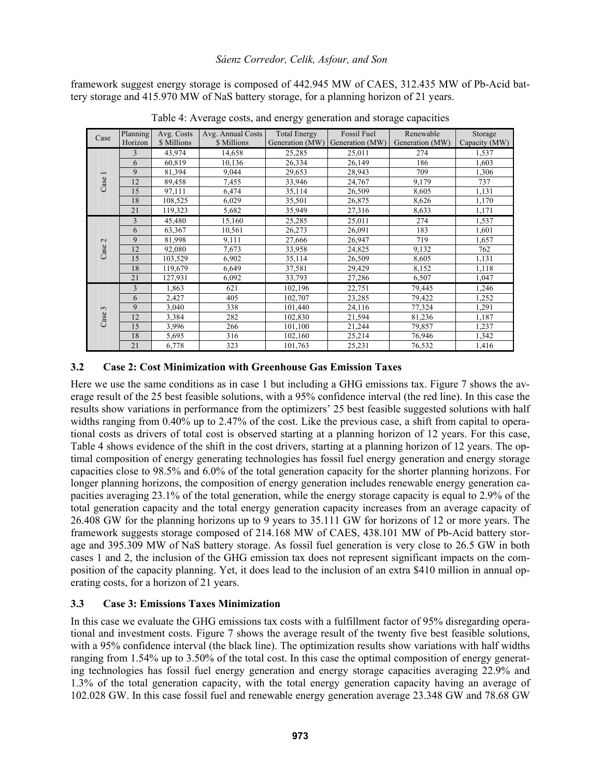framework suggest energy storage is composed of 442.945 MW of CAES, 312.435 MW of Pb-Acid battery storage and 415.970 MW of NaS battery storage, for a planning horizon of 21 years.

| Case                     | Planning<br>Horizon | Avg. Costs<br>\$ Millions | Avg. Annual Costs<br>\$ Millions | <b>Total Energy</b><br>Generation (MW) | Fossil Fuel<br>Generation (MW) | Renewable<br>Generation (MW) | Storage<br>Capacity (MW) |
|--------------------------|---------------------|---------------------------|----------------------------------|----------------------------------------|--------------------------------|------------------------------|--------------------------|
|                          | $\mathcal{E}$       | 43,974                    | 14,658                           | 25,285                                 | 25,011                         | 274                          | 1,537                    |
|                          | 6                   | 60,819                    | 10,136                           | 26,334                                 | 26,149                         | 186                          | 1.603                    |
| $\overline{\phantom{0}}$ | 9                   | 81,394                    | 9,044                            | 29,653                                 | 28,943                         | 709                          | 1,306                    |
| Case                     | 12                  | 89,458                    | 7,455                            | 33,946                                 | 24,767                         | 9,179                        | 737                      |
|                          | 15                  | 97,111                    | 6,474                            | 35,114                                 | 26,509                         | 8,605                        | 1,131                    |
|                          | 18                  | 108,525                   | 6,029                            | 35,501                                 | 26,875                         | 8,626                        | 1,170                    |
|                          | 21                  | 119,323                   | 5,682                            | 35,949                                 | 27,316                         | 8,633                        | 1,171                    |
| $\sim$<br>Case           | 3                   | 45,480                    | 15,160                           | 25,285                                 | 25,011                         | 274                          | 1,537                    |
|                          | 6                   | 63,367                    | 10,561                           | 26,273                                 | 26,091                         | 183                          | 1,601                    |
|                          | 9                   | 81,998                    | 9,111                            | 27,666                                 | 26,947                         | 719                          | 1,657                    |
|                          | 12                  | 92,080                    | 7,673                            | 33,958                                 | 24,825                         | 9,132                        | 762                      |
|                          | 15                  | 103,529                   | 6,902                            | 35,114                                 | 26,509                         | 8,605                        | 1,131                    |
|                          | 18                  | 119,679                   | 6,649                            | 37,581                                 | 29,429                         | 8,152                        | 1,118                    |
|                          | 21                  | 127,931                   | 6,092                            | 33,793                                 | 27,286                         | 6,507                        | 1,047                    |
| 3<br>Case                | 3                   | 1,863                     | 621                              | 102,196                                | 22,751                         | 79,445                       | 1,246                    |
|                          | 6                   | 2,427                     | 405                              | 102,707                                | 23,285                         | 79,422                       | 1,252                    |
|                          | 9                   | 3,040                     | 338                              | 101,440                                | 24,116                         | 77,324                       | 1,291                    |
|                          | 12                  | 3,384                     | 282                              | 102,830                                | 21,594                         | 81,236                       | 1,187                    |
|                          | 15                  | 3.996                     | 266                              | 101,100                                | 21,244                         | 79,857                       | 1,237                    |
|                          | 18                  | 5,695                     | 316                              | 102,160                                | 25,214                         | 76,946                       | 1,342                    |
|                          | 21                  | 6,778                     | 323                              | 101,763                                | 25,231                         | 76,532                       | 1,416                    |

Table 4: Average costs, and energy generation and storage capacities

# **3.2 Case 2: Cost Minimization with Greenhouse Gas Emission Taxes**

Here we use the same conditions as in case 1 but including a GHG emissions tax. Figure 7 shows the average result of the 25 best feasible solutions, with a 95% confidence interval (the red line). In this case the results show variations in performance from the optimizers' 25 best feasible suggested solutions with half widths ranging from 0.40% up to 2.47% of the cost. Like the previous case, a shift from capital to operational costs as drivers of total cost is observed starting at a planning horizon of 12 years. For this case, Table 4 shows evidence of the shift in the cost drivers, starting at a planning horizon of 12 years. The optimal composition of energy generating technologies has fossil fuel energy generation and energy storage capacities close to 98.5% and 6.0% of the total generation capacity for the shorter planning horizons. For longer planning horizons, the composition of energy generation includes renewable energy generation capacities averaging 23.1% of the total generation, while the energy storage capacity is equal to 2.9% of the total generation capacity and the total energy generation capacity increases from an average capacity of 26.408 GW for the planning horizons up to 9 years to 35.111 GW for horizons of 12 or more years. The framework suggests storage composed of 214.168 MW of CAES, 438.101 MW of Pb-Acid battery storage and 395.309 MW of NaS battery storage. As fossil fuel generation is very close to 26.5 GW in both cases 1 and 2, the inclusion of the GHG emission tax does not represent significant impacts on the composition of the capacity planning. Yet, it does lead to the inclusion of an extra \$410 million in annual operating costs, for a horizon of 21 years.

# **3.3 Case 3: Emissions Taxes Minimization**

In this case we evaluate the GHG emissions tax costs with a fulfillment factor of 95% disregarding operational and investment costs. Figure 7 shows the average result of the twenty five best feasible solutions, with a 95% confidence interval (the black line). The optimization results show variations with half widths ranging from 1.54% up to 3.50% of the total cost. In this case the optimal composition of energy generating technologies has fossil fuel energy generation and energy storage capacities averaging 22.9% and 1.3% of the total generation capacity, with the total energy generation capacity having an average of 102.028 GW. In this case fossil fuel and renewable energy generation average 23.348 GW and 78.68 GW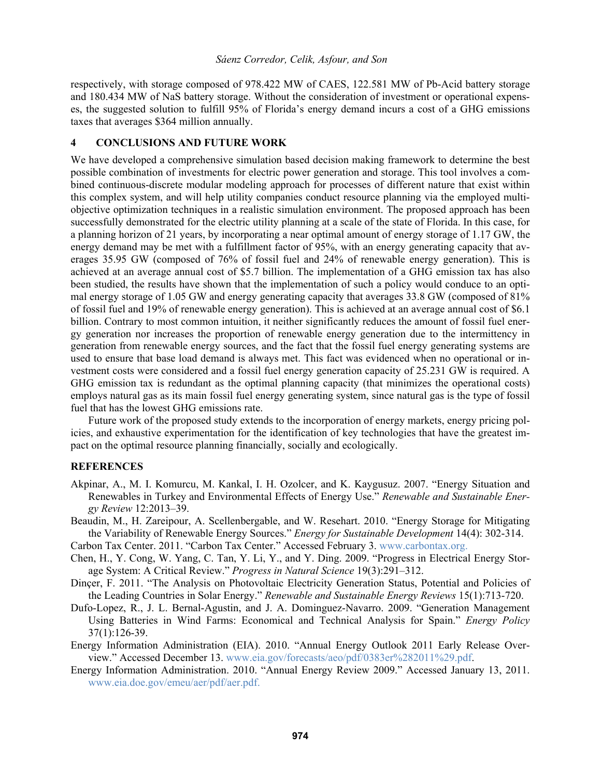respectively, with storage composed of 978.422 MW of CAES, 122.581 MW of Pb-Acid battery storage and 180.434 MW of NaS battery storage. Without the consideration of investment or operational expenses, the suggested solution to fulfill 95% of Florida's energy demand incurs a cost of a GHG emissions taxes that averages \$364 million annually.

### **4 CONCLUSIONS AND FUTURE WORK**

We have developed a comprehensive simulation based decision making framework to determine the best possible combination of investments for electric power generation and storage. This tool involves a combined continuous-discrete modular modeling approach for processes of different nature that exist within this complex system, and will help utility companies conduct resource planning via the employed multiobjective optimization techniques in a realistic simulation environment. The proposed approach has been successfully demonstrated for the electric utility planning at a scale of the state of Florida. In this case, for a planning horizon of 21 years, by incorporating a near optimal amount of energy storage of 1.17 GW, the energy demand may be met with a fulfillment factor of 95%, with an energy generating capacity that averages 35.95 GW (composed of 76% of fossil fuel and 24% of renewable energy generation). This is achieved at an average annual cost of \$5.7 billion. The implementation of a GHG emission tax has also been studied, the results have shown that the implementation of such a policy would conduce to an optimal energy storage of 1.05 GW and energy generating capacity that averages 33.8 GW (composed of 81% of fossil fuel and 19% of renewable energy generation). This is achieved at an average annual cost of \$6.1 billion. Contrary to most common intuition, it neither significantly reduces the amount of fossil fuel energy generation nor increases the proportion of renewable energy generation due to the intermittency in generation from renewable energy sources, and the fact that the fossil fuel energy generating systems are used to ensure that base load demand is always met. This fact was evidenced when no operational or investment costs were considered and a fossil fuel energy generation capacity of 25.231 GW is required. A GHG emission tax is redundant as the optimal planning capacity (that minimizes the operational costs) employs natural gas as its main fossil fuel energy generating system, since natural gas is the type of fossil fuel that has the lowest GHG emissions rate.

 Future work of the proposed study extends to the incorporation of energy markets, energy pricing policies, and exhaustive experimentation for the identification of key technologies that have the greatest impact on the optimal resource planning financially, socially and ecologically.

### **REFERENCES**

- Akpinar, A., M. I. Komurcu, M. Kankal, I. H. Ozolcer, and K. Kaygusuz. 2007. "Energy Situation and Renewables in Turkey and Environmental Effects of Energy Use." *Renewable and Sustainable Energy Review* 12:2013–39.
- Beaudin, M., H. Zareipour, A. Scellenbergable, and W. Resehart. 2010. "Energy Storage for Mitigating the Variability of Renewable Energy Sources." *Energy for Sustainable Development* 14(4): 302-314.

Carbon Tax Center. 2011. "Carbon Tax Center." Accessed February 3. www.carbontax.org.

- Chen, H., Y. Cong, W. Yang, C. Tan, Y. Li, Y., and Y. Ding. 2009. "Progress in Electrical Energy Storage System: A Critical Review." *Progress in Natural Science* 19(3):291–312.
- Dinçer, F. 2011. "The Analysis on Photovoltaic Electricity Generation Status, Potential and Policies of the Leading Countries in Solar Energy." *Renewable and Sustainable Energy Reviews* 15(1):713-720.
- Dufo-Lopez, R., J. L. Bernal-Agustin, and J. A. Dominguez-Navarro. 2009. "Generation Management Using Batteries in Wind Farms: Economical and Technical Analysis for Spain." *Energy Policy*  37(1):126-39.
- Energy Information Administration (EIA). 2010. "Annual Energy Outlook 2011 Early Release Overview." Accessed December 13. www.eia.gov/forecasts/aeo/pdf/0383er%282011%29.pdf.
- Energy Information Administration. 2010. "Annual Energy Review 2009." Accessed January 13, 2011. www.eia.doe.gov/emeu/aer/pdf/aer.pdf.